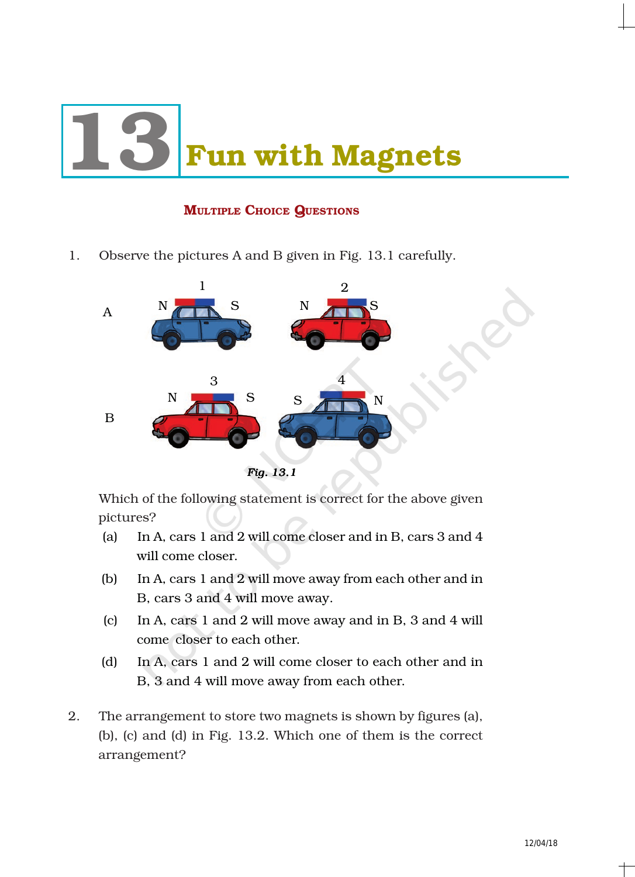# **Fun with Magnets**

# MULTIPLE CHOICE QUESTIONS

1. Observe the pictures A and B given in Fig. 13.1 carefully.



Which of the following statement is correct for the above given pictures?

- (a) In A, cars 1 and 2 will come closer and in B, cars 3 and 4 will come closer.
- (b) In A, cars 1 and 2 will move away from each other and in B, cars 3 and 4 will move away.
- (c) In A, cars 1 and 2 will move away and in B, 3 and 4 will come closer to each other.
- (d) In A, cars 1 and 2 will come closer to each other and in B, 3 and 4 will move away from each other.
- 2. The arrangement to store two magnets is shown by figures (a), (b), (c) and (d) in Fig. 13.2. Which one of them is the correct arrangement?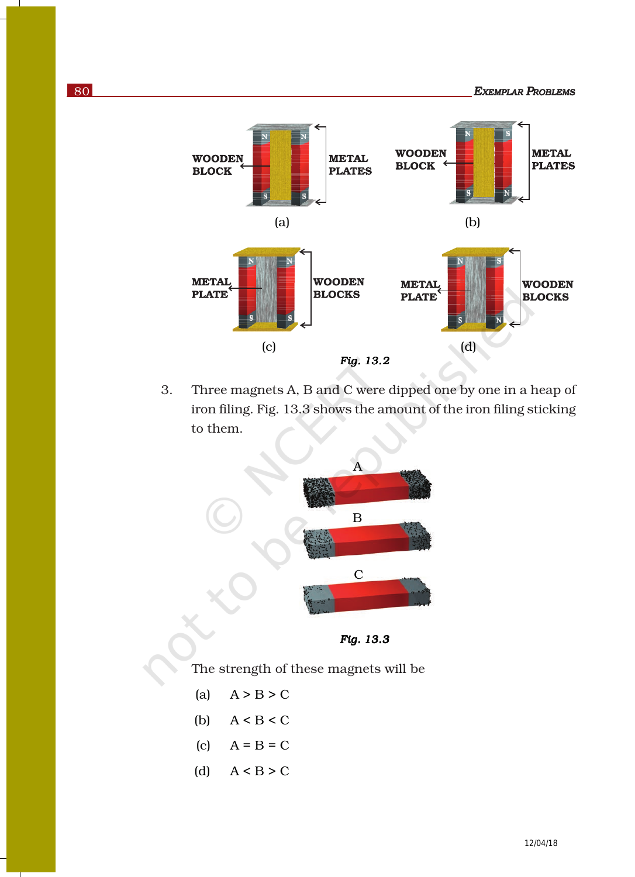80 *EXEMPLAR PROBLEMS*



3. Three magnets A, B and C were dipped one by one in a heap of iron filing. Fig. 13.3 shows the amount of the iron filing sticking to them.



*Fig. 13.3 13.3Fig.* 

The strength of these magnets will be

- (a)  $A > B > C$
- (b)  $A < B < C$
- (c)  $A = B = C$
- (d)  $A < B > C$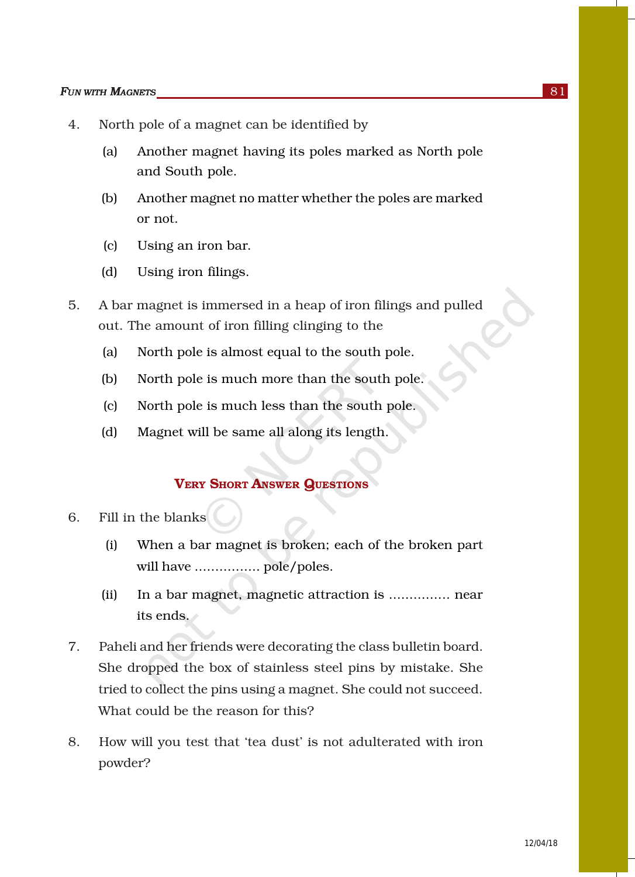### **FUN WITH MAGNETS** 81

- 4. North pole of a magnet can be identified by
	- (a) Another magnet having its poles marked as North pole and South pole.
	- (b) Another magnet no matter whether the poles are marked or not.
	- (c) Using an iron bar.
	- (d) Using iron filings.
- 5. A bar magnet is immersed in a heap of iron filings and pulled out. The amount of iron filling clinging to the
	- (a) North pole is almost equal to the south pole.
	- (b) North pole is much more than the south pole.
	- (c) North pole is much less than the south pole.
	- (d) Magnet will be same all along its length.

## VERY SHORT ANSWER QUESTIONS

- 6. Fill in the blanks
	- (i) When a bar magnet is broken; each of the broken part will have ................ pole/poles.
	- (ii) In a bar magnet, magnetic attraction is ............... near its ends.
- 7. Paheli and her friends were decorating the class bulletin board. She dropped the box of stainless steel pins by mistake. She tried to collect the pins using a magnet. She could not succeed. What could be the reason for this?
- 8. How will you test that 'tea dust' is not adulterated with iron powder?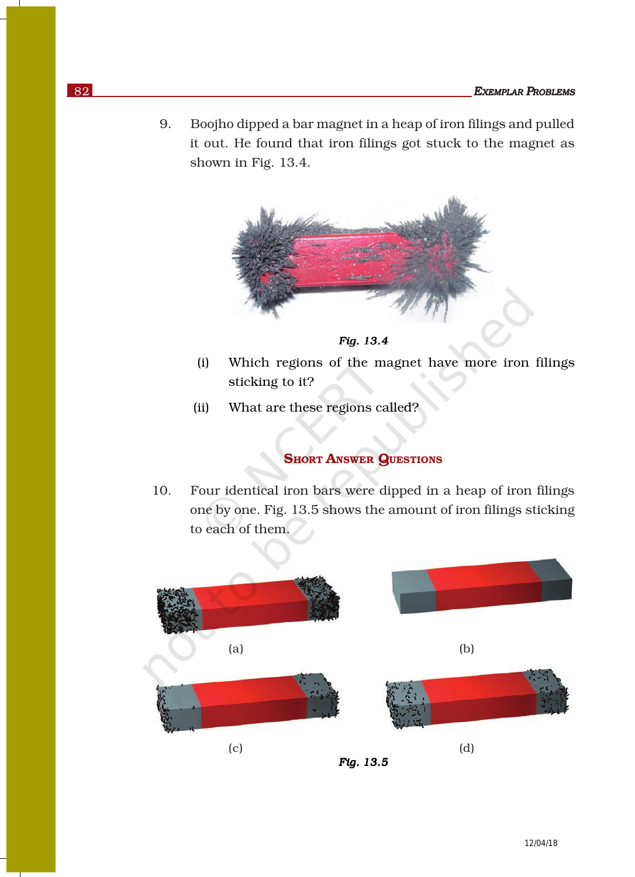9. Boojho dipped a bar magnet in a heap of iron filings and pulled it out. He found that iron filings got stuck to the magnet as shown in Fig. 13.4.





- (i) Which regions of the magnet have more iron filings sticking to it?
- (ii) What are these regions called?

# **SHORT ANSWER QUESTIONS**

10. Four identical iron bars were dipped in a heap of iron filings one by one. Fig. 13.5 shows the amount of iron filings sticking to each of them.

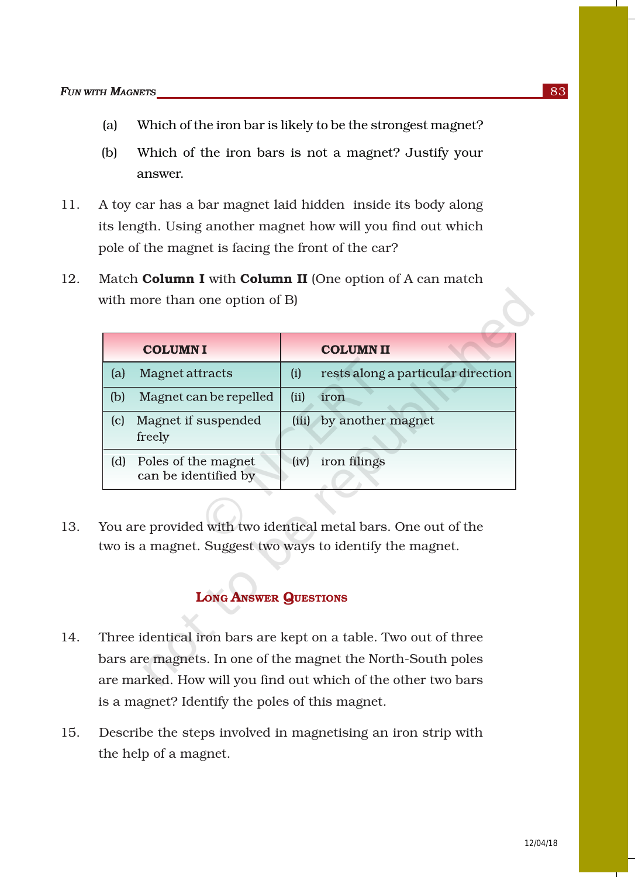- (a) Which of the iron bar is likely to be the strongest magnet?
- (b) Which of the iron bars is not a magnet? Justify your answer.
- 11. A toy car has a bar magnet laid hidden inside its body along its length. Using another magnet how will you find out which pole of the magnet is facing the front of the car?
- 12. Match **Column I** with **Column II** (One option of A can match with more than one option of B)

|     | <b>COLUMNI</b>                              |      | <b>COLUMN II</b>                   |
|-----|---------------------------------------------|------|------------------------------------|
| (a) | Magnet attracts                             | (i)  | rests along a particular direction |
| (b) | Magnet can be repelled                      | (ii) | iron                               |
| (c) | Magnet if suspended<br>freely               |      | (iii) by another magnet            |
| (d) | Poles of the magnet<br>can be identified by | (iv) | iron filings                       |

13. You are provided with two identical metal bars. One out of the two is a magnet. Suggest two ways to identify the magnet.

## LONG ANSWER QUESTIONS

- 14. Three identical iron bars are kept on a table. Two out of three bars are magnets. In one of the magnet the North-South poles are marked. How will you find out which of the other two bars is a magnet? Identify the poles of this magnet.
- 15. Describe the steps involved in magnetising an iron strip with the help of a magnet.